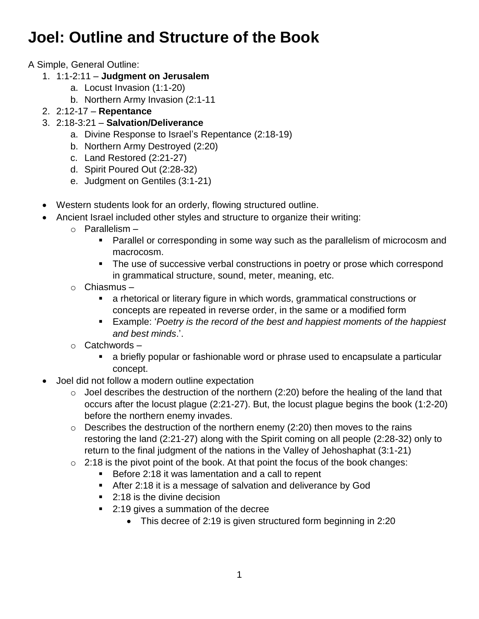## **Joel: Outline and Structure of the Book**

A Simple, General Outline:

- 1. 1:1-2:11 **Judgment on Jerusalem**
	- a. Locust Invasion (1:1-20)
	- b. Northern Army Invasion (2:1-11
- 2. 2:12-17 **Repentance**
- 3. 2:18-3:21 **Salvation/Deliverance**
	- a. Divine Response to Israel's Repentance (2:18-19)
	- b. Northern Army Destroyed (2:20)
	- c. Land Restored (2:21-27)
	- d. Spirit Poured Out (2:28-32)
	- e. Judgment on Gentiles (3:1-21)
- Western students look for an orderly, flowing structured outline.
- Ancient Israel included other styles and structure to organize their writing:
	- $\circ$  Parallelism
		- **Parallel or corresponding in some way such as the parallelism of microcosm and** macrocosm.
		- The use of successive verbal constructions in poetry or prose which correspond in grammatical structure, sound, meter, meaning, etc.
		- o Chiasmus
			- a rhetorical or literary figure in which words, grammatical constructions or concepts are repeated in reverse order, in the same or a modified form
			- Example: '*Poetry is the record of the best and happiest moments of the happiest and best minds*.'.
	- o Catchwords
		- a briefly popular or fashionable word or phrase used to encapsulate a particular concept.
- Joel did not follow a modern outline expectation
	- $\circ$  Joel describes the destruction of the northern (2:20) before the healing of the land that occurs after the locust plague (2:21-27). But, the locust plague begins the book (1:2-20) before the northern enemy invades.
	- $\circ$  Describes the destruction of the northern enemy (2:20) then moves to the rains restoring the land (2:21-27) along with the Spirit coming on all people (2:28-32) only to return to the final judgment of the nations in the Valley of Jehoshaphat (3:1-21)
	- $\circ$  2:18 is the pivot point of the book. At that point the focus of the book changes:
		- Before 2:18 it was lamentation and a call to repent
		- After 2:18 it is a message of salvation and deliverance by God
		- 2:18 is the divine decision
		- 2:19 gives a summation of the decree
			- This decree of 2:19 is given structured form beginning in 2:20